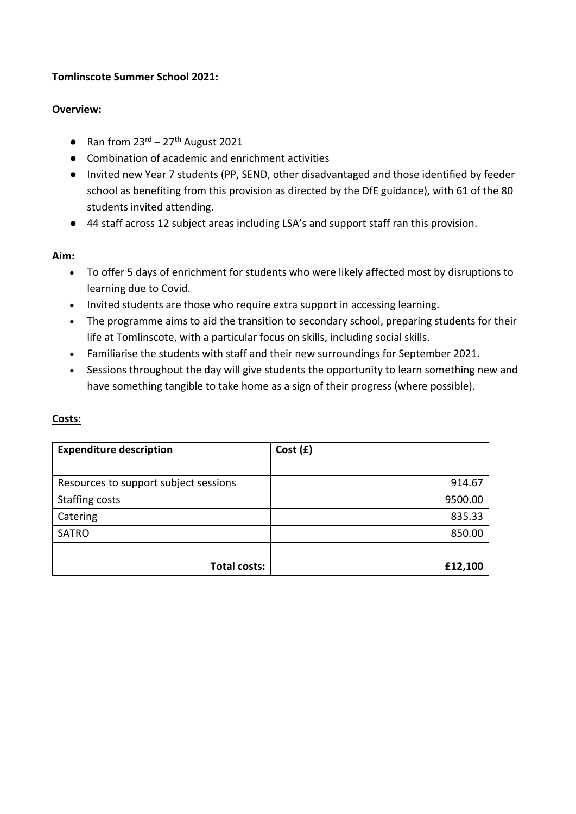## **Tomlinscote Summer School 2021:**

## **Overview:**

- Ran from  $23^{rd} 27^{th}$  August 2021
- Combination of academic and enrichment activities
- Invited new Year 7 students (PP, SEND, other disadvantaged and those identified by feeder school as benefiting from this provision as directed by the DfE guidance), with 61 of the 80 students invited attending.
- 44 staff across 12 subject areas including LSA's and support staff ran this provision.

#### **Aim:**

- To offer 5 days of enrichment for students who were likely affected most by disruptions to learning due to Covid.
- Invited students are those who require extra support in accessing learning.
- The programme aims to aid the transition to secondary school, preparing students for their life at Tomlinscote, with a particular focus on skills, including social skills.
- Familiarise the students with staff and their new surroundings for September 2021.
- Sessions throughout the day will give students the opportunity to learn something new and have something tangible to take home as a sign of their progress (where possible).

| <b>Expenditure description</b>        | Cost(f) |
|---------------------------------------|---------|
|                                       |         |
| Resources to support subject sessions | 914.67  |
| <b>Staffing costs</b>                 | 9500.00 |
| Catering                              | 835.33  |
| <b>SATRO</b>                          | 850.00  |
|                                       |         |
| <b>Total costs:</b>                   | £12,100 |

# **Costs:**